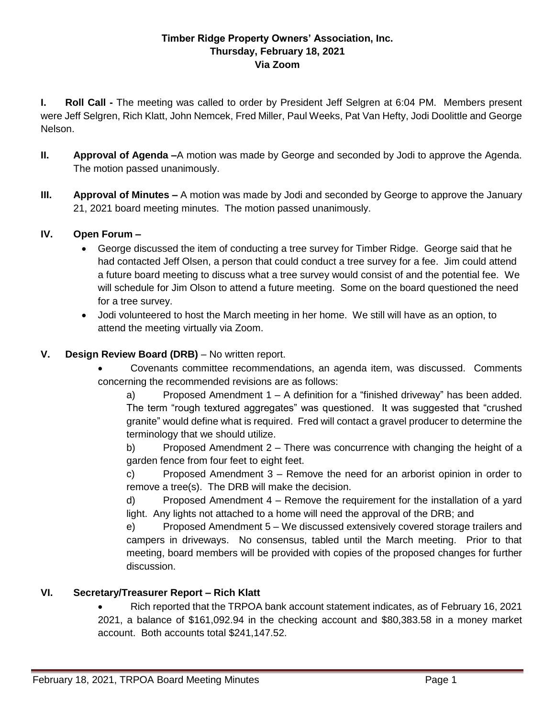### **Timber Ridge Property Owners' Association, Inc. Thursday, February 18, 2021 Via Zoom**

**I. Roll Call -** The meeting was called to order by President Jeff Selgren at 6:04 PM. Members present were Jeff Selgren, Rich Klatt, John Nemcek, Fred Miller, Paul Weeks, Pat Van Hefty, Jodi Doolittle and George Nelson.

- **II. Approval of Agenda –**A motion was made by George and seconded by Jodi to approve the Agenda. The motion passed unanimously.
- **III. Approval of Minutes –** A motion was made by Jodi and seconded by George to approve the January 21, 2021 board meeting minutes. The motion passed unanimously.

## **IV. Open Forum –**

- George discussed the item of conducting a tree survey for Timber Ridge. George said that he had contacted Jeff Olsen, a person that could conduct a tree survey for a fee. Jim could attend a future board meeting to discuss what a tree survey would consist of and the potential fee. We will schedule for Jim Olson to attend a future meeting. Some on the board questioned the need for a tree survey.
- Jodi volunteered to host the March meeting in her home. We still will have as an option, to attend the meeting virtually via Zoom.
- **V. Design Review Board (DRB)** No written report.
	- Covenants committee recommendations, an agenda item, was discussed. Comments concerning the recommended revisions are as follows:

a) Proposed Amendment  $1 - A$  definition for a "finished driveway" has been added. The term "rough textured aggregates" was questioned. It was suggested that "crushed granite" would define what is required. Fred will contact a gravel producer to determine the terminology that we should utilize.

b) Proposed Amendment 2 – There was concurrence with changing the height of a garden fence from four feet to eight feet.

c) Proposed Amendment 3 – Remove the need for an arborist opinion in order to remove a tree(s). The DRB will make the decision.

d) Proposed Amendment 4 – Remove the requirement for the installation of a yard light. Any lights not attached to a home will need the approval of the DRB; and

e) Proposed Amendment 5 – We discussed extensively covered storage trailers and campers in driveways. No consensus, tabled until the March meeting. Prior to that meeting, board members will be provided with copies of the proposed changes for further discussion.

### **VI. Secretary/Treasurer Report – Rich Klatt**

• Rich reported that the TRPOA bank account statement indicates, as of February 16, 2021 2021, a balance of \$161,092.94 in the checking account and \$80,383.58 in a money market account. Both accounts total \$241,147.52.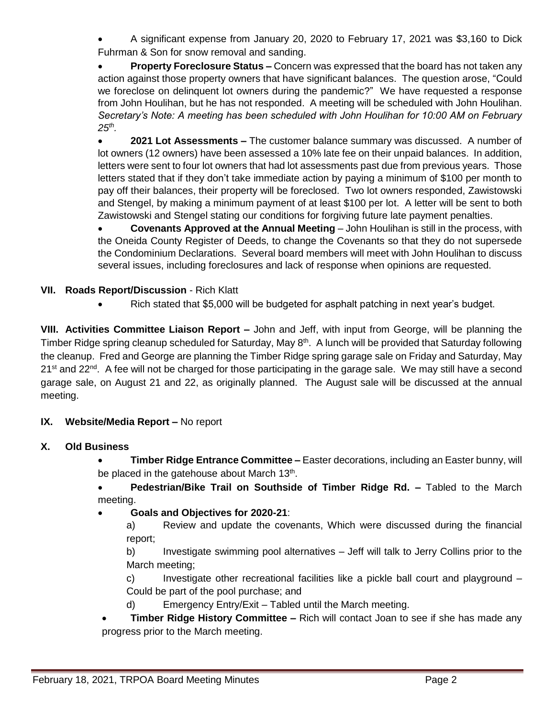A significant expense from January 20, 2020 to February 17, 2021 was \$3,160 to Dick Fuhrman & Son for snow removal and sanding.

 **Property Foreclosure Status –** Concern was expressed that the board has not taken any action against those property owners that have significant balances. The question arose, "Could we foreclose on delinquent lot owners during the pandemic?" We have requested a response from John Houlihan, but he has not responded. A meeting will be scheduled with John Houlihan. *Secretary's Note: A meeting has been scheduled with John Houlihan for 10:00 AM on February 25th .*

 **2021 Lot Assessments –** The customer balance summary was discussed. A number of lot owners (12 owners) have been assessed a 10% late fee on their unpaid balances. In addition, letters were sent to four lot owners that had lot assessments past due from previous years. Those letters stated that if they don't take immediate action by paying a minimum of \$100 per month to pay off their balances, their property will be foreclosed. Two lot owners responded, Zawistowski and Stengel, by making a minimum payment of at least \$100 per lot. A letter will be sent to both Zawistowski and Stengel stating our conditions for forgiving future late payment penalties.

 **Covenants Approved at the Annual Meeting** – John Houlihan is still in the process, with the Oneida County Register of Deeds, to change the Covenants so that they do not supersede the Condominium Declarations. Several board members will meet with John Houlihan to discuss several issues, including foreclosures and lack of response when opinions are requested.

## **VII. Roads Report/Discussion** - Rich Klatt

• Rich stated that \$5,000 will be budgeted for asphalt patching in next year's budget.

**VIII. Activities Committee Liaison Report –** John and Jeff, with input from George, will be planning the Timber Ridge spring cleanup scheduled for Saturday, May 8<sup>th</sup>. A lunch will be provided that Saturday following the cleanup. Fred and George are planning the Timber Ridge spring garage sale on Friday and Saturday, May 21<sup>st</sup> and 22<sup>nd</sup>. A fee will not be charged for those participating in the garage sale. We may still have a second garage sale, on August 21 and 22, as originally planned. The August sale will be discussed at the annual meeting.

### **IX. Website/Media Report –** No report

### **X. Old Business**

- **Timber Ridge Entrance Committee –** Easter decorations, including an Easter bunny, will be placed in the gatehouse about March 13<sup>th</sup>.
- **Pedestrian/Bike Trail on Southside of Timber Ridge Rd. –** Tabled to the March meeting.

# **Goals and Objectives for 2020-21**:

a) Review and update the covenants, Which were discussed during the financial report;

b) Investigate swimming pool alternatives – Jeff will talk to Jerry Collins prior to the March meeting;

c) Investigate other recreational facilities like a pickle ball court and playground – Could be part of the pool purchase; and

d) Emergency Entry/Exit – Tabled until the March meeting.

 **Timber Ridge History Committee –** Rich will contact Joan to see if she has made any progress prior to the March meeting.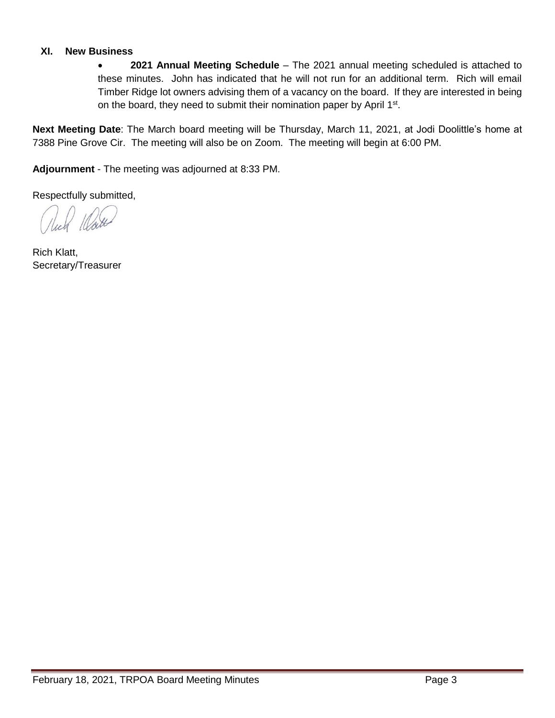#### **XI. New Business**

 **2021 Annual Meeting Schedule** – The 2021 annual meeting scheduled is attached to these minutes. John has indicated that he will not run for an additional term. Rich will email Timber Ridge lot owners advising them of a vacancy on the board. If they are interested in being on the board, they need to submit their nomination paper by April 1<sup>st</sup>.

**Next Meeting Date**: The March board meeting will be Thursday, March 11, 2021, at Jodi Doolittle's home at 7388 Pine Grove Cir. The meeting will also be on Zoom. The meeting will begin at 6:00 PM.

**Adjournment** - The meeting was adjourned at 8:33 PM.

Respectfully submitted,

Rich Klatt, Secretary/Treasurer